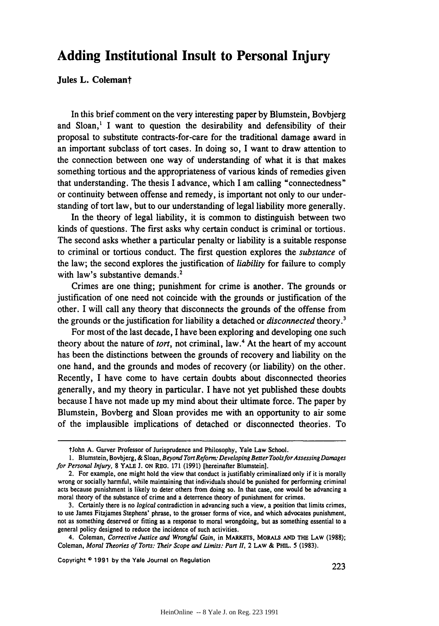# **Adding Institutional Insult to Personal Injury**

Jules L. Colemant

In this brief comment on the very interesting paper **by** Blumstein, Bovbjerg and Sloan,' I want to question the desirability and defensibility of their proposal to substitute contracts-for-care for the traditional damage award in an important subclass of tort cases. In doing so, I want to draw attention to the connection between one way of understanding of what it is that makes something tortious and the appropriateness of various kinds of remedies given that understanding. The thesis I advance, which I am calling "connectedness" or continuity between offense and remedy, is important not only to our understanding of tort law, but to our understanding of legal liability more generally.

In the theory of legal liability, it is common to distinguish between two kinds of questions. The first asks why certain conduct is criminal or tortious. The second asks whether a particular penalty or liability is a suitable response to criminal or tortious conduct. The first question explores the *substance* of the law; the second explores the justification of *liability* for failure to comply with law's substantive demands.<sup>2</sup>

Crimes are one thing; punishment for crime is another. The grounds or justification of one need not coincide with the grounds or justification of the other. I will call any theory that disconnects the grounds of the offense from the grounds or the justification for liability a detached or *disconnected* theory.<sup>3</sup>

For most of the last decade, I have been exploring and developing one such theory about the nature of *tort,* not criminal, law.4 At the heart of my account has been the distinctions between the grounds of recovery and liability on the one hand, and the grounds and modes of recovery (or liability) on the other. Recently, I have come to have certain doubts about disconnected theories generally, and my theory in particular. I have not yet published these doubts because I have not made up my mind about their ultimate force. The paper by Blumstein, Bovberg and Sloan provides me with an opportunity to air some of the implausible implications of detached or disconnected theories. To

4. Coleman, *Corrective Justice and Wrongful Gain,* in MARKETS, MORALS **AND** THE LAW **(1988);** Coleman, *Moral Theories of Torts: Their Scope and Limits: Par 1,* 2 **LAW &** PHIL. **5 (1983).**

Copyright **0 1991 by** the Yale Journal on Regulation **---**

t John **A.** Garver Professor of Jurisprudence and Philosophy, Yale Law School.

<sup>1.</sup> Blumstein, Bovbjerg, & Sloan, Beyond Tort Reform: Developing Better Tools for Assessing Damages *for Personal Injury,* **<sup>8</sup>**YALE **J. ON** REG. **171 (1991)** [hereinafter Blumstein].

<sup>2.</sup> For example, one might hold the view that conduct is justifiably criminalized only if it is morally wrong or socially harmful, while maintaining that individuals should be punished for performing criminal acts because punishment is likely to deter others from doing so. In that case, one would be advancing a moral theory of the substance of crime and a deterrence theory of punishment for crimes.

**<sup>3.</sup>** Certainly there is no *logical* contradiction in advancing such a view, a position that limits crimes, to use James Fitzjames Stephens' phrase, to the grosser forms of vice, and which advocates punishment, not as something deserved or fitting as a response to moral wrongdoing, but as something essential to a general policy designed to reduce the incidence of such activities.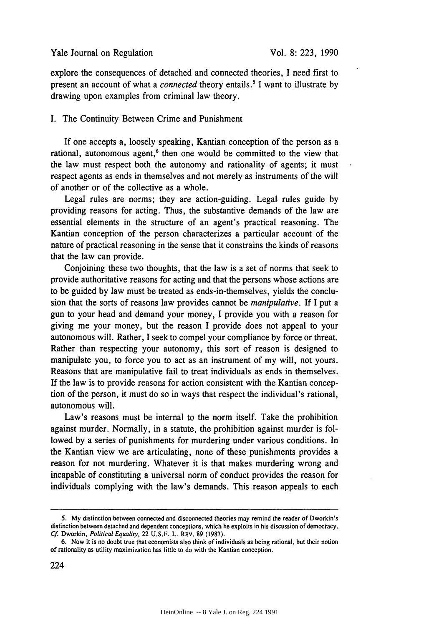explore the consequences of detached and connected theories, I need first to present an account of what a *connected* theory entails.' I want to illustrate by drawing upon examples from criminal law theory.

### I. The Continuity Between Crime and Punishment

If one accepts a, loosely speaking, Kantian conception of the person as a rational, autonomous agent,<sup>6</sup> then one would be committed to the view that the law must respect both the autonomy and rationality of agents; it must respect agents as ends in themselves and not merely as instruments of the will of another or of the collective as a whole.

Legal rules are norms; they are action-guiding. Legal rules guide by providing reasons for acting. Thus, the substantive demands of the law are essential elements in the structure of an agent's practical reasoning. The Kantian conception of the person characterizes a particular account of the nature of practical reasoning in the sense that it constrains the kinds of reasons that the law can provide.

Conjoining these two thoughts, that the law is a set of norms that seek to provide authoritative reasons for acting and that the persons whose actions are to be guided by law must be treated as ends-in-themselves, yields the conclusion that the sorts of reasons law provides cannot be *manipulative.* If I put a gun to your head and demand your money, I provide you with a reason for giving me your money, but the reason I provide does not appeal to your autonomous will. Rather, I seek to compel your compliance by force or threat. Rather than respecting your autonomy, this sort of reason is designed to manipulate you, to force you to act as an instrument of my will, not yours. Reasons that are manipulative fail to treat individuals as ends in themselves. If the law is to provide reasons for action consistent with the Kantian conception of the person, it must do so in ways that respect the individual's rational, autonomous will.

Law's reasons must be internal to the norm itself. Take the prohibition against murder. Normally, in a statute, the prohibition against murder is followed by a series of punishments for murdering under various conditions. In the Kantian view we are articulating, none of these punishments provides a reason for not murdering. Whatever it is that makes murdering wrong and incapable of constituting a universal norm of conduct provides the reason for individuals complying with the law's demands. This reason appeals to each

<sup>5.</sup> My distinction between connected and disconnected theories may remind the reader of Dworkin's distinction between detached and dependent conceptions, which he exploits in his discussion of democracy. *Cf.* Dworkin, *Political Equality,* 22 U.S.F. L. REV. 89 (1987).

<sup>6.</sup> Now it is no doubt true that economists also think of individuals as being rational, but their notion of rationality as utility maximization has little to do with the Kantian conception.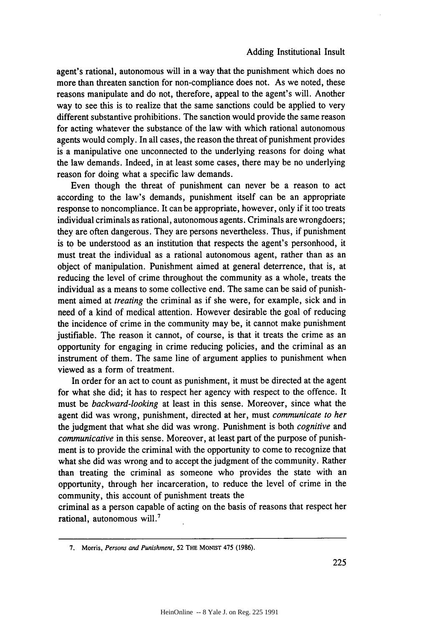agent's rational, autonomous will in a way that the punishment which does no more than threaten sanction for non-compliance does not. As we noted, these reasons manipulate and do not, therefore, appeal to the agent's will. Another way to see this is to realize that the same sanctions could be applied to very different substantive prohibitions. The sanction would provide the same reason for acting whatever the substance of the law with which rational autonomous agents would comply. In all cases, the reason the threat of punishment provides is a manipulative one unconnected to the underlying reasons for doing what the law demands. Indeed, in at least some cases, there may be no underlying reason for doing what a specific law demands.

Even though the threat of punishment can never be a reason to act according to the law's demands, punishment itself can be an appropriate response to noncompliance. It can be appropriate, however, only if it too treats individual criminals as rational, autonomous agents. Criminals are wrongdoers; they are often dangerous. They are persons nevertheless. Thus, if punishment is to be understood as an institution that respects the agent's personhood, it must treat the individual as a rational autonomous agent, rather than as an object of manipulation. Punishment aimed at general deterrence, that is, at reducing the level of crime throughout the community as a whole, treats the individual as a means to some collective end. The same can be said of punishment aimed at *treating* the criminal as if she were, for example, sick and in need of a kind of medical attention. However desirable the goal of reducing the incidence of crime in the community may be, it cannot make punishment justifiable. The reason it cannot, of course, is that it treats the crime as an opportunity for engaging in crime reducing policies, and the criminal as an instrument of them. The same line of argument applies to punishment when viewed as a form of treatment.

In order for an act to count as punishment, it must be directed at the agent for what she did; it has to respect her agency with respect to the offence. It must be *backward-looking* at least in this sense. Moreover, since what the agent did was wrong, punishment, directed at her, must *communicate to her* the judgment that what she did was wrong. Punishment is both *cognitive* and *communicative* in this sense. Moreover, at least part of the purpose of punishment is to provide the criminal with the opportunity to come to recognize that what she did was wrong and to accept the judgment of the community. Rather than treating the criminal as someone who provides the state with an opportunity, through her incarceration, to reduce the level of crime in the community, this account of punishment treats the

criminal as a person capable of acting on the basis of reasons that respect her rational, autonomous will.<sup>7</sup>

<sup>7.</sup> Morris, *Persons and Punishment,* 52 THE MONIST 475 (1986).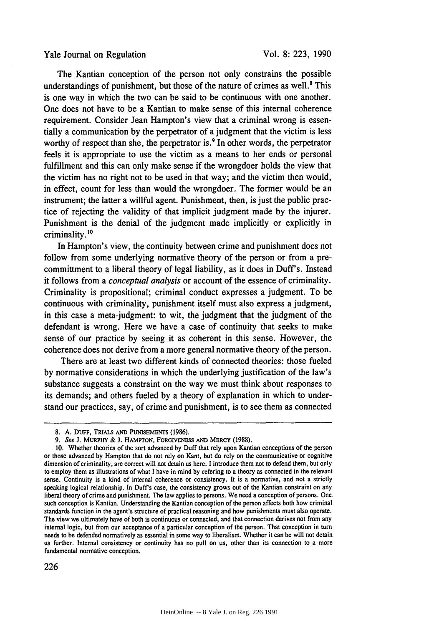The Kantian conception of the person not only constrains the possible understandings of punishment, but those of the nature of crimes as well.<sup>8</sup> This is one way in which the two can be said to be continuous with one another. One does not have to be a Kantian to make sense of this internal coherence requirement. Consider Jean Hampton's view that a criminal wrong is essentially a communication by the perpetrator of a judgment that the victim is less worthy of respect than she, the perpetrator is.<sup>9</sup> In other words, the perpetrator feels it is appropriate to use the victim as a means to her ends or personal fulfillment and this can only make sense if the wrongdoer holds the view that the victim has no right not to be used in that way; and the victim then would, in effect, count for less than would the wrongdoer. The former would be an instrument; the latter a willful agent. Punishment, then, is just the public practice of rejecting the validity of that implicit judgment made by the injurer. Punishment is the denial of the judgment made implicitly or explicitly in criminality. 10

In Hampton's view, the continuity between crime and punishment does not follow from some underlying normative theory of the person or from a precommittment to a liberal theory of legal liability, as it does in Duff's. Instead it follows from a *conceptual analysis* or account of the essence of criminality. Criminality is propositional; criminal conduct expresses a judgment. To be continuous with criminality, punishment itself must also express a judgment, in this case a meta-judgment: to wit, the judgment that the judgment of the defendant is wrong. Here we have a case of continuity that seeks to make sense of our practice by seeing it as coherent in this sense. However, the coherence does not derive from a more general normative theory of the person.

There are at least two different kinds of connected theories: those fueled by normative considerations in which the underlying justification of the law's substance suggests a constraint on the way we must think about responses to its demands; and others fueled by a theory of explanation in which to understand our practices, say, of crime and punishment, is to see them as connected

**<sup>8.</sup> A.** DUFF, TRIALs **AND PUNISHMENTS** (1986).

*<sup>9.</sup> See* J. **MURPHY** & J. HAMPTON, FORGIVENESS **AND** MERCY (1988).

**<sup>10.</sup>** Whether theories of the sort advanced by Duff that rely upon Kantian conceptions of the person or those advanced by Hampton that do not rely on Kant, but do rely on the communicative or cognitive dimension of criminality, are correct will not detain us here. I introduce them not to defend them, but only to employ them as illustrations of what I have in mind by refering to a theory as connected in the relevant sense. Continuity is a kind of internal coherence or consistency. It is a normative, and not a strictly speaking logical relationship. In Duff's case, the consistency grows out of the Kantian constraint on any liberal theory of crime and punishment. The law applies to persons. We need a conception of persons. One such conception is Kantian. Understanding the Kantian conception of the person affects both how criminal standards function in the agent's structure of practical reasoning and how punishments must also operate. The view we ultimately have of both is continuous or connected, and that connection derives not from any internal logic, but from our acceptance of a particular conception of the person. That conception in turn needs to be defended normatively as essential in some way to liberalism. Whether it can be will not detain us further. Internal consistency or continuity has no pull on us, other than its connection to a more fundamental normative conception.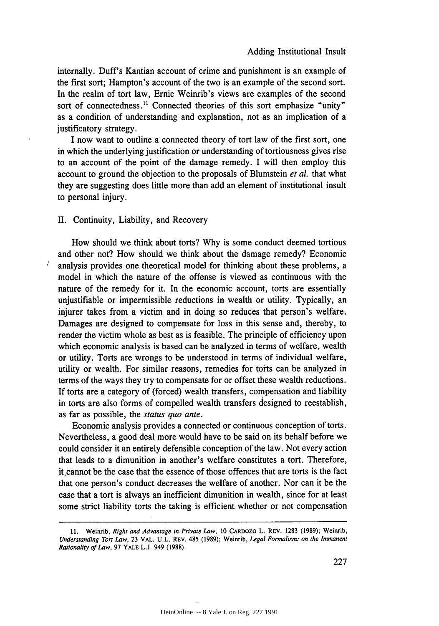internally. Duff's Kantian account of crime and punishment is an example of the first sort; Hampton's account of the two is an example of the second sort. In the realm of tort law, Ernie Weinrib's views are examples of the second sort of connectedness.<sup>11</sup> Connected theories of this sort emphasize "unity" as a condition of understanding and explanation, not as an implication of a justificatory strategy.

I now want to outline a connected theory of tort law of the first sort, one in which the underlying justification or understanding of tortiousness gives rise to an account of the point of the damage remedy. I will then employ this account to ground the objection to the proposals of Blumstein *et al.* that what they are suggesting does little more than add an element of institutional insult to personal injury.

## II. Continuity, Liability, and Recovery

 $\sqrt{2}$ 

How should we think about torts? Why is some conduct deemed tortious and other not? How should we think about the damage remedy? Economic analysis provides one theoretical model for thinking about these problems, a model in which the nature of the offense is viewed as continuous with the nature of the remedy for it. In the economic account, torts are essentially unjustifiable or impermissible reductions in wealth or utility. Typically, an injurer takes from a victim and in doing so reduces that person's welfare. Damages are designed to compensate for loss in this sense and, thereby, to render the victim whole as best as is feasible. The principle of efficiency upon which economic analysis is based can be analyzed in terms of welfare, wealth or utility. Torts are wrongs to be understood in terms of individual welfare, utility or wealth. For similar reasons, remedies for torts can be analyzed in terms of the ways they try to compensate for or offset these wealth reductions. If torts are a category of (forced) wealth transfers, compensation and liability in torts are also forms of compelled wealth transfers designed to reestablish, as far as possible, the *status quo ante.*

Economic analysis provides a connected or continuous conception of torts. Nevertheless, a good deal more would have to be said on its behalf before we could consider it an entirely defensible conception of the law. Not every action that leads to a dimunition in another's welfare constitutes a tort. Therefore, it cannot be the case that the essence of those offences that are torts is the fact that one person's conduct decreases the welfare of another. Nor can it be the case that a tort is always an inefficient dimunition in wealth, since for at least some strict liability torts the taking is efficient whether or not compensation

<sup>11.</sup> Weinrib, *Right and Advantage in Private Law,* 10 CARDOZO L. REV. 1283 (1989); Weinrib, *Understanding Tort Law,* 23 VAL. U.L. REV. 485 (1989); Weinrib, *Legal Formalism: on the Immanent Rationality of Law,* **97** YALE **L.J.** 949 (1988).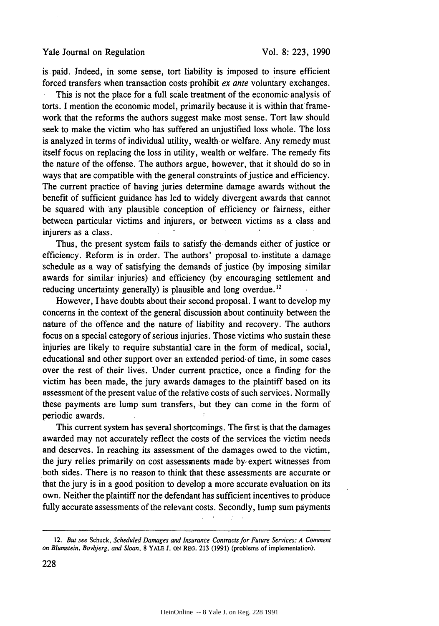is-paid. Indeed, in some sense, tort liability is imposed to insure efficient forced transfers when transaction costs prohibit *ex ante* voluntary exchanges.

This is not the place for a full scale treatment of the economic analysis of torts. I mention the economic model, primarily because it is within that framework that the reforms the authors suggest make most sense. Tort law should seek to make the victim who has suffered an unjustified loss whole. The loss is analyzed in terms of individual utility, wealth or welfare. Any remedy must itself focus on replacing the loss in utility, wealth or welfare. The remedy fits the nature of the offense. The authors argue, however, that it should do so in ways that are compatible with the general constraints of justice and efficiency. The current practice of having juries determine damage awards without the benefit of sufficient guidance has led to widely divergent awards that cannot be squared with 'any plausible conception of efficiency or fairness, either between particular victims and injurers, or between victims as a class and injurers as a class.

Thus, the present system fails to satisfy the demands either of justice or efficiency. Reform is in order. The authors' proposal to. institute a damage schedule as a way of satisfying the demands of justice (by imposing similar awards for similar injuries) and efficiency (by encouraging settlement and reducing uncertainty generally) is plausible and long overdue.<sup>12</sup>

However, I have doubts about their second proposal. I want to develop my concerns in the context of the general discussion about continuity between the nature of the offence and the nature of liability and recovery. The authors focus on a special category of serious injuries. Those victims who sustain these injuries are likely to require substantial care in the form of medical, social, educational and other support over an extended period- of time, in some cases over the rest of their lives. Under current practice, once a finding for- the victim has been made, the jury awards damages to the plaintiff based on its assessment of the present value of the relative costs of such services. Normally these payments are lump sum transfers, but they can come in the form of periodic awards.

This current system has several shortcomings. The first is that the damages awarded may not accurately reflect the costs of the services the victim needs and deserves. In reaching its assessment of the damages owed to the victim, the jury relies primarily on cost assessments made **by,** expert witnesses from both sides. There is no reason to think that these assessments are accurate or that the jury is in a good position to develop a more accurate evaluation On its own. Neither the plaintiff nor the defendant has sufficient incentives to produce fully accurate assessments of the relevant costs. Secondly, lump sum payments

12. But see Schuck, *Scheduled Damages and Insurance Contracts for Future Services: A Comment on* Blumstein, Bovbjerg, *and* Sloan, **8** YALE **J. ON** REG. 213 (1991) (problems of implementation).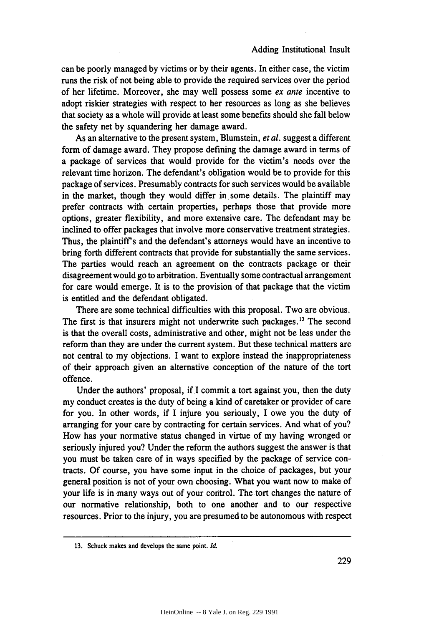can be poorly managed by victims or by their agents. In either case, the victim runs the risk of not being able to provide the required services over the period of her lifetime. Moreover, she may well possess some *ex ante* incentive to adopt riskier strategies with respect to her resources as long as she believes that society as a whole will provide at least some benefits should she fall below the safety net by squandering her damage award.

As an alternative to the present system, Blumstein, *et al.* suggest a different form of damage award. They propose defining the damage award in terms of a package of services that would provide for the victim's needs over the relevant time horizon. The defendant's obligation would be to provide for this package of services. Presumably contracts for such services would be available in the market, though they would differ in some details. The plaintiff may prefer contracts with certain properties, perhaps those that provide more options, greater flexibility, and more extensive care. The defendant may be inclined to offer packages that involve more conservative treatment strategies. Thus, the plaintiff's and the defendant's attorneys would have an incentive to bring forth different contracts that provide for substantially the same services. The parties would reach an agreement on the contracts package or their disagreement would go to arbitration. Eventually some contractual arrangement for care would emerge. It is to the provision of that package that the victim is entitled and the defendant obligated.

There are some technical difficulties with this proposal. Two are obvious. The first is that insurers might not underwrite such packages.<sup>13</sup> The second is that the overall costs, administrative and other, might not be less under the reform than they are under the current system. But these technical matters are not central to my objections. I want to explore instead the inappropriateness of their approach given an alternative conception of the nature of the tort offence.

Under the authors' proposal, if I commit a tort against you, then the duty my conduct creates is the duty of being a kind of caretaker or provider of care for you. In other words, if I injure you seriously, I owe you the duty of arranging for your care by contracting for certain services. And what of you? How has your normative status changed in virtue of my having wronged or seriously injured you? Under the reform the authors suggest the answer is that you must be taken care of in ways specified by the package of service contracts. Of course, you have some input in the choice of packages, but your general position is not of your own choosing. What you want now to make of your life is in many ways out of your control. The tort changes the nature of our normative relationship, both to one another and to our respective resources. Prior to the injury, you are presumed to be autonomous with respect

**<sup>13.</sup>** Schuck makes and develops the same point. *Id.*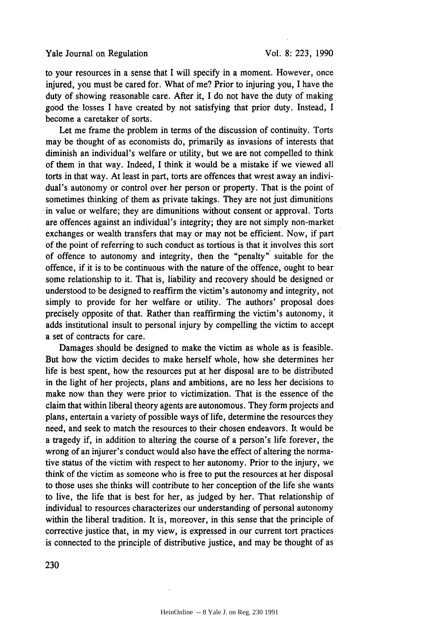to your resources in a sense that I will specify in a moment. However, once injured, you must be cared for. What of me? Prior to injuring you, I have the duty of showing reasonable care. After it, I do not have the duty of making good the losses I have created by not satisfying that prior duty. Instead, I become a caretaker of sorts.

Let me frame the problem in terms of the discussion of continuity. Torts may be thought of as economists do, primarily as invasions of interests that diminish an individual's welfare or utility, but we are not compelled to think of them in that way. Indeed, I think it would be a mistake if we viewed all torts in that way. At least in part, torts are offences that wrest away an individual's autonomy or control over her person or property. That is the point of sometimes thinking of them as private takings. They are not just dimunitions in value or welfare; they are dimunitions without consent or approval. Torts are offences against an individual's integrity; they are not simply non-market exchanges or wealth transfers that may or may not be efficient. Now, if part of the point of referring to such conduct as tortious is that it involves this sort of offence to autonomy and integrity, then the "penalty" suitable for the offence, if it is to be continuous with the nature of the offence, ought to bear some relationship to it. That is, liability and recovery should be designed or understood to be designed to reaffirm the victim's autonomy and integrity, not simply to provide for her welfare or utility. The authors' proposal does precisely opposite of that. Rather than reaffirming the victim's autonomy, it adds institutional insult to personal injury by compelling the victim to accept a set of contracts for care.

Damages should be designed to make the victim as whole as is feasible. But how the victim decides to make herself whole, how she determines her life is best spent, how the resources put at her disposal are to be distributed in the light of her projects, plans and ambitions, are no less her decisions to make now than they were prior to victimization. That is the essence of the claim that within liberal theory agents are autonomous. They form projects and plans, entertain a variety of possible ways of life, determine the resources they need, and seek to match the resources to their chosen endeavors. It would be a tragedy if, in addition to altering the course of a person's life forever, the wrong of an injurer's conduct would also have the effect of altering the normative status of the victim with respect to her autonomy. Prior to the injury, we think of the victim as someone who is free to put the resources at her disposal to those uses she thinks will contribute to her conception of the life she wants to live, the life that is best for her, as judged by her. That relationship of individual to resources characterizes our understanding of personal autonomy within the liberal tradition. It is, moreover, in this sense that the principle of corrective justice that, in my view, is expressed in our current tort practices is connected to the principle of distributive justice, and may be thought of as